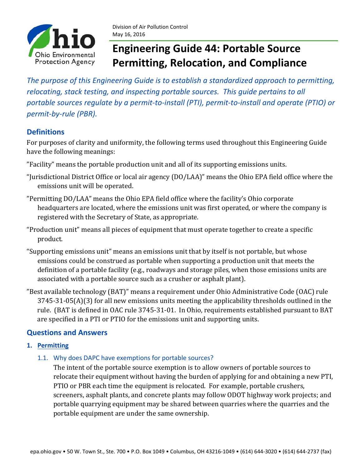

*The purpose of this Engineering Guide is to establish a standardized approach to permitting, relocating, stack testing, and inspecting portable sources. This guide pertains to all* portable sources regulate by a permit-to-install (PTI), permit-to-install and operate (PTIO) or *permit‐by‐rule (PBR).*

## **Definitions**

For purposes of clarity and uniformity, the following terms used throughout this Engineering Guide have the following meanings:

- "Facility" means the portable production unit and all of its supporting emissions units.
- "Jurisdictional District Office or local air agency (DO/LAA)" means the Ohio EPA field office where the emissions unit will be operated.
- "Permitting DO/LAA" means the Ohio EPA field office where the facility's Ohio corporate headquarters are located, where the emissions unit was first operated, or where the company is registered with the Secretary of State, as appropriate.
- "Production unit" means all pieces of equipment that must operate together to create a specific product.
- "Supporting emissions unit" means an emissions unit that by itself is not portable, but whose emissions could be construed as portable when supporting a production unit that meets the definition of a portable facility (e.g., roadways and storage piles, when those emissions units are associated with a portable source such as a crusher or asphalt plant).
- "Best available technology (BAT)" means a requirement under Ohio Administrative Code (OAC) rule  $3745-31-05(A)(3)$  for all new emissions units meeting the applicability thresholds outlined in the rule. (BAT is defined in OAC rule 3745-31-01. In Ohio, requirements established pursuant to BAT are specified in a PTI or PTIO for the emissions unit and supporting units.

## **Questions and Answers**

## **1. Permitting**

1.1. Why does DAPC have exemptions for portable sources?

The intent of the portable source exemption is to allow owners of portable sources to relocate their equipment without having the burden of applying for and obtaining a new PTI, PTIO or PBR each time the equipment is relocated. For example, portable crushers, screeners, asphalt plants, and concrete plants may follow ODOT highway work projects; and portable quarrying equipment may be shared between quarries where the quarries and the portable equipment are under the same ownership.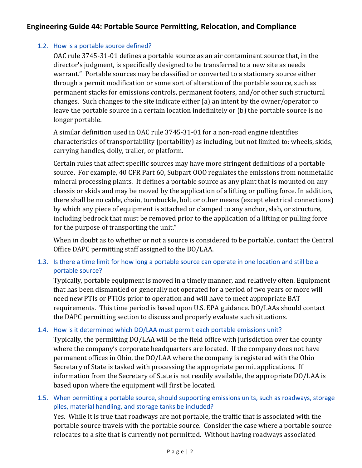## 1.2. How is a portable source defined?

OAC rule 3745-31-01 defines a portable source as an air contaminant source that, in the director's judgment, is specifically designed to be transferred to a new site as needs warrant." Portable sources may be classified or converted to a stationary source either through a permit modification or some sort of alteration of the portable source, such as permanent stacks for emissions controls, permanent footers, and/or other such structural changes. Such changes to the site indicate either (a) an intent by the owner/operator to leave the portable source in a certain location indefinitely or (b) the portable source is no longer portable.

A similar definition used in OAC rule 3745-31-01 for a non-road engine identifies characteristics of transportability (portability) as including, but not limited to: wheels, skids, carrying handles, dolly, trailer, or platform.

Certain rules that affect specific sources may have more stringent definitions of a portable source. For example, 40 CFR Part 60, Subpart 000 regulates the emissions from nonmetallic mineral processing plants. It defines a portable source as any plant that is mounted on any chassis or skids and may be moved by the application of a lifting or pulling force. In addition, there shall be no cable, chain, turnbuckle, bolt or other means (except electrical connections) by which any piece of equipment is attached or clamped to any anchor, slab, or structure, including bedrock that must be removed prior to the application of a lifting or pulling force for the purpose of transporting the unit."

When in doubt as to whether or not a source is considered to be portable, contact the Central Office DAPC permitting staff assigned to the DO/LAA.

## 1.3. Is there a time limit for how long a portable source can operate in one location and still be a portable source?

Typically, portable equipment is moved in a timely manner, and relatively often. Equipment that has been dismantled or generally not operated for a period of two years or more will need new PTIs or PTIOs prior to operation and will have to meet appropriate BAT requirements. This time period is based upon U.S. EPA guidance. DO/LAAs should contact the DAPC permitting section to discuss and properly evaluate such situations.

## 1.4. How is it determined which DO/LAA must permit each portable emissions unit?

Typically, the permitting DO/LAA will be the field office with jurisdiction over the county where the company's corporate headquarters are located. If the company does not have permanent offices in Ohio, the DO/LAA where the company is registered with the Ohio Secretary of State is tasked with processing the appropriate permit applications. If information from the Secretary of State is not readily available, the appropriate DO/LAA is based upon where the equipment will first be located.

## 1.5. When permitting a portable source, should supporting emissions units, such as roadways, storage piles, material handling, and storage tanks be included?

Yes. While it is true that roadways are not portable, the traffic that is associated with the portable source travels with the portable source. Consider the case where a portable source relocates to a site that is currently not permitted. Without having roadways associated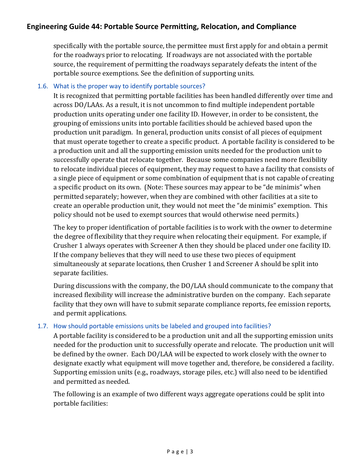specifically with the portable source, the permittee must first apply for and obtain a permit for the roadways prior to relocating. If roadways are not associated with the portable source, the requirement of permitting the roadways separately defeats the intent of the portable source exemptions. See the definition of supporting units.

### 1.6. What is the proper way to identify portable sources?

It is recognized that permitting portable facilities has been handled differently over time and across DO/LAAs. As a result, it is not uncommon to find multiple independent portable production units operating under one facility ID. However, in order to be consistent, the grouping of emissions units into portable facilities should be achieved based upon the production unit paradigm. In general, production units consist of all pieces of equipment that must operate together to create a specific product. A portable facility is considered to be a production unit and all the supporting emission units needed for the production unit to successfully operate that relocate together. Because some companies need more flexibility to relocate individual pieces of equipment, they may request to have a facility that consists of a single piece of equipment or some combination of equipment that is not capable of creating a specific product on its own. (Note: These sources may appear to be "de minimis" when permitted separately; however, when they are combined with other facilities at a site to create an operable production unit, they would not meet the "de minimis" exemption. This policy should not be used to exempt sources that would otherwise need permits.)

The key to proper identification of portable facilities is to work with the owner to determine the degree of flexibility that they require when relocating their equipment. For example, if Crusher 1 always operates with Screener A then they should be placed under one facility ID. If the company believes that they will need to use these two pieces of equipment simultaneously at separate locations, then Crusher 1 and Screener A should be split into separate facilities.

During discussions with the company, the DO/LAA should communicate to the company that increased flexibility will increase the administrative burden on the company. Each separate facility that they own will have to submit separate compliance reports, fee emission reports, and permit applications.

### 1.7. How should portable emissions units be labeled and grouped into facilities?

A portable facility is considered to be a production unit and all the supporting emission units needed for the production unit to successfully operate and relocate. The production unit will be defined by the owner. Each DO/LAA will be expected to work closely with the owner to designate exactly what equipment will move together and, therefore, be considered a facility. Supporting emission units (e.g., roadways, storage piles, etc.) will also need to be identified and permitted as needed.

The following is an example of two different ways aggregate operations could be split into portable facilities: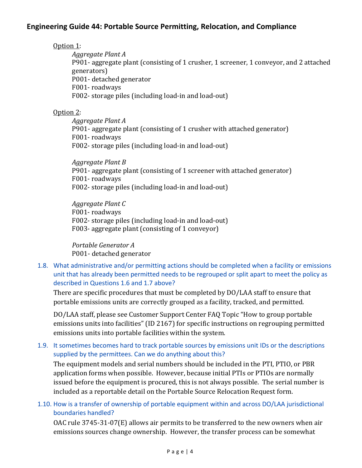Option 1:

*Aggregate Plant A* P901- aggregate plant (consisting of 1 crusher, 1 screener, 1 conveyor, and 2 attached generators) P001- detached generator F001-roadways

F002- storage piles (including load-in and load-out)

## Option 2:

*Aggregate Plant A* P901- aggregate plant (consisting of 1 crusher with attached generator) F001-roadways F002- storage piles (including load-in and load-out)

*Aggregate Plant B* P901- aggregate plant (consisting of 1 screener with attached generator) F001-roadways F002- storage piles (including load-in and load-out)

*Aggregate Plant C* F001-roadways F002- storage piles (including load-in and load-out) F003- aggregate plant (consisting of 1 conveyor)

*Portable Generator A* P001- detached generator

## 1.8. What administrative and/or permitting actions should be completed when a facility or emissions unit that has already been permitted needs to be regrouped or split apart to meet the policy as described in Questions 1.6 and 1.7 above?

There are specific procedures that must be completed by DO/LAA staff to ensure that portable emissions units are correctly grouped as a facility, tracked, and permitted.

DO/LAA staff, please see Customer Support Center FAQ Topic "How to group portable emissions units into facilities" (ID 2167) for specific instructions on regrouping permitted emissions units into portable facilities within the system.

## 1.9. It sometimes becomes hard to track portable sources by emissions unit IDs or the descriptions supplied by the permittees. Can we do anything about this?

The equipment models and serial numbers should be included in the PTI, PTIO, or PBR application forms when possible. However, because initial PTIs or PTIOs are normally issued before the equipment is procured, this is not always possible. The serial number is included as a reportable detail on the Portable Source Relocation Request form.

## 1.10. How is a transfer of ownership of portable equipment within and across DO/LAA jurisdictional boundaries handled?

OAC rule  $3745-31-07(E)$  allows air permits to be transferred to the new owners when air emissions sources change ownership. However, the transfer process can be somewhat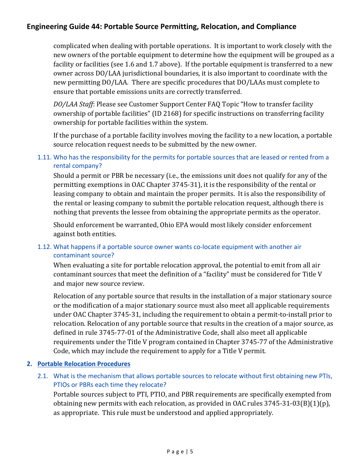complicated when dealing with portable operations. It is important to work closely with the new owners of the portable equipment to determine how the equipment will be grouped as a facility or facilities (see 1.6 and 1.7 above). If the portable equipment is transferred to a new owner across DO/LAA jurisdictional boundaries, it is also important to coordinate with the new permitting DO/LAA. There are specific procedures that DO/LAAs must complete to ensure that portable emissions units are correctly transferred.

*DO/LAA Staff*: Please see Customer Support Center FAQ Topic "How to transfer facility ownership of portable facilities" (ID 2168) for specific instructions on transferring facility ownership for portable facilities within the system.

If the purchase of a portable facility involves moving the facility to a new location, a portable source relocation request needs to be submitted by the new owner.

## 1.11. Who has the responsibility for the permits for portable sources that are leased or rented from a rental company?

Should a permit or PBR be necessary (i.e., the emissions unit does not qualify for any of the permitting exemptions in OAC Chapter 3745-31), it is the responsibility of the rental or leasing company to obtain and maintain the proper permits. It is also the responsibility of the rental or leasing company to submit the portable relocation request, although there is nothing that prevents the lessee from obtaining the appropriate permits as the operator.

Should enforcement be warranted, Ohio EPA would most likely consider enforcement against both entities.

## 1.12. What happens if a portable source owner wants co-locate equipment with another air contaminant source?

When evaluating a site for portable relocation approval, the potential to emit from all air contaminant sources that meet the definition of a "facility" must be considered for Title V and major new source review.

Relocation of any portable source that results in the installation of a major stationary source or the modification of a major stationary source must also meet all applicable requirements under OAC Chapter 3745-31, including the requirement to obtain a permit-to-install prior to relocation. Relocation of any portable source that results in the creation of a major source, as defined in rule 3745-77-01 of the Administrative Code, shall also meet all applicable requirements under the Title V program contained in Chapter 3745-77 of the Administrative Code, which may include the requirement to apply for a Title V permit.

## **2. Portable Relocation Procedures**

2.1. What is the mechanism that allows portable sources to relocate without first obtaining new PTIs, PTIOs or PBRs each time they relocate?

Portable sources subject to PTI, PTIO, and PBR requirements are specifically exempted from obtaining new permits with each relocation, as provided in OAC rules  $3745-31-03(B)(1)(p)$ , as appropriate. This rule must be understood and applied appropriately.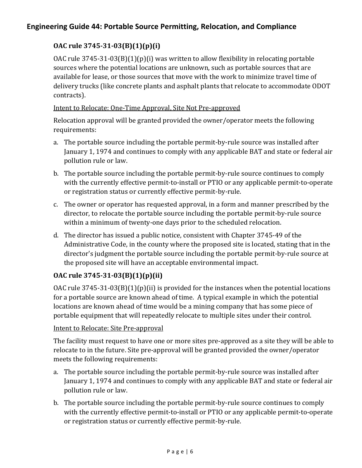## **OAC rule 3745‐31‐03(B)(1)(p)(i)**

OAC rule  $3745-31-03(B)(1)(p)(i)$  was written to allow flexibility in relocating portable sources where the potential locations are unknown, such as portable sources that are available for lease, or those sources that move with the work to minimize travel time of delivery trucks (like concrete plants and asphalt plants that relocate to accommodate ODOT contracts). 

## Intent to Relocate: One-Time Approval, Site Not Pre-approved

Relocation approval will be granted provided the owner/operator meets the following requirements: 

- a. The portable source including the portable permit-by-rule source was installed after January 1, 1974 and continues to comply with any applicable BAT and state or federal air pollution rule or law.
- b. The portable source including the portable permit-by-rule source continues to comply with the currently effective permit-to-install or PTIO or any applicable permit-to-operate or registration status or currently effective permit-by-rule.
- c. The owner or operator has requested approval, in a form and manner prescribed by the director, to relocate the portable source including the portable permit-by-rule source within a minimum of twenty-one days prior to the scheduled relocation.
- d. The director has issued a public notice, consistent with Chapter 3745-49 of the Administrative Code, in the county where the proposed site is located, stating that in the director's judgment the portable source including the portable permit-by-rule source at the proposed site will have an acceptable environmental impact.

## **OAC rule 3745‐31‐03(B)(1)(p)(ii)**

OAC rule  $3745-31-03(B)(1)(p)(ii)$  is provided for the instances when the potential locations for a portable source are known ahead of time. A typical example in which the potential locations are known ahead of time would be a mining company that has some piece of portable equipment that will repeatedly relocate to multiple sites under their control.

## Intent to Relocate: Site Pre-approval

The facility must request to have one or more sites pre-approved as a site they will be able to relocate to in the future. Site pre-approval will be granted provided the owner/operator meets the following requirements:

- a. The portable source including the portable permit-by-rule source was installed after January 1, 1974 and continues to comply with any applicable BAT and state or federal air pollution rule or law.
- b. The portable source including the portable permit-by-rule source continues to comply with the currently effective permit-to-install or PTIO or any applicable permit-to-operate or registration status or currently effective permit-by-rule.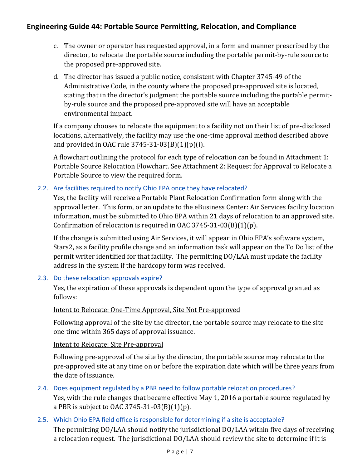- c. The owner or operator has requested approval, in a form and manner prescribed by the director, to relocate the portable source including the portable permit-by-rule source to the proposed pre-approved site.
- d. The director has issued a public notice, consistent with Chapter 3745-49 of the Administrative Code, in the county where the proposed pre-approved site is located, stating that in the director's judgment the portable source including the portable permitby-rule source and the proposed pre-approved site will have an acceptable environmental impact.

If a company chooses to relocate the equipment to a facility not on their list of pre-disclosed locations, alternatively, the facility may use the one-time approval method described above and provided in OAC rule  $3745-31-03(B)(1)(p)(i)$ .

A flowchart outlining the protocol for each type of relocation can be found in Attachment 1: Portable Source Relocation Flowchart. See Attachment 2: Request for Approval to Relocate a Portable Source to view the required form.

## 2.2. Are facilities required to notify Ohio EPA once they have relocated?

Yes, the facility will receive a Portable Plant Relocation Confirmation form along with the approval letter. This form, or an update to the eBusiness Center: Air Services facility location information, must be submitted to Ohio EPA within 21 days of relocation to an approved site. Confirmation of relocation is required in OAC 3745-31-03(B)(1)(p).

If the change is submitted using Air Services, it will appear in Ohio EPA's software system, Stars2, as a facility profile change and an information task will appear on the To Do list of the permit writer identified for that facility. The permitting DO/LAA must update the facility address in the system if the hardcopy form was received.

## 2.3. Do these relocation approvals expire?

Yes, the expiration of these approvals is dependent upon the type of approval granted as follows: 

## Intent to Relocate: One-Time Approval, Site Not Pre-approved

Following approval of the site by the director, the portable source may relocate to the site one time within 365 days of approval issuance.

## Intent to Relocate: Site Pre-approval

Following pre-approval of the site by the director, the portable source may relocate to the pre-approved site at any time on or before the expiration date which will be three years from the date of issuance.

## 2.4. Does equipment regulated by a PBR need to follow portable relocation procedures? Yes, with the rule changes that became effective May 1, 2016 a portable source regulated by a PBR is subject to OAC 3745-31-03(B)(1)(p).

## 2.5. Which Ohio EPA field office is responsible for determining if a site is acceptable?

The permitting DO/LAA should notify the jurisdictional DO/LAA within five days of receiving a relocation request. The jurisdictional DO/LAA should review the site to determine if it is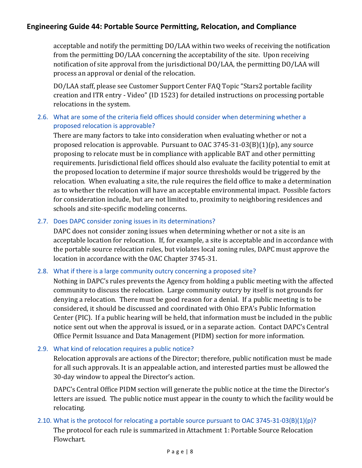acceptable and notify the permitting DO/LAA within two weeks of receiving the notification from the permitting DO/LAA concerning the acceptability of the site. Upon receiving notification of site approval from the jurisdictional DO/LAA, the permitting DO/LAA will process an approval or denial of the relocation.

DO/LAA staff, please see Customer Support Center FAQ Topic "Stars2 portable facility creation and ITR entry - Video" (ID 1523) for detailed instructions on processing portable relocations in the system.

## 2.6. What are some of the criteria field offices should consider when determining whether a proposed relocation is approvable?

There are many factors to take into consideration when evaluating whether or not a proposed relocation is approvable. Pursuant to OAC 3745-31-03(B)(1)(p), any source proposing to relocate must be in compliance with applicable BAT and other permitting requirements. Jurisdictional field offices should also evaluate the facility potential to emit at the proposed location to determine if major source thresholds would be triggered by the relocation. When evaluating a site, the rule requires the field office to make a determination as to whether the relocation will have an acceptable environmental impact. Possible factors for consideration include, but are not limited to, proximity to neighboring residences and schools and site-specific modeling concerns.

## 2.7. Does DAPC consider zoning issues in its determinations?

DAPC does not consider zoning issues when determining whether or not a site is an acceptable location for relocation. If, for example, a site is acceptable and in accordance with the portable source relocation rules, but violates local zoning rules, DAPC must approve the location in accordance with the OAC Chapter 3745-31.

## 2.8. What if there is a large community outcry concerning a proposed site?

Nothing in DAPC's rules prevents the Agency from holding a public meeting with the affected community to discuss the relocation. Large community outcry by itself is not grounds for denying a relocation. There must be good reason for a denial. If a public meeting is to be considered, it should be discussed and coordinated with Ohio EPA's Public Information Center  $(PIC)$ . If a public hearing will be held, that information must be included in the public notice sent out when the approval is issued, or in a separate action. Contact DAPC's Central Office Permit Issuance and Data Management (PIDM) section for more information.

## 2.9. What kind of relocation requires a public notice?

Relocation approvals are actions of the Director; therefore, public notification must be made for all such approvals. It is an appealable action, and interested parties must be allowed the 30-day window to appeal the Director's action.

DAPC's Central Office PIDM section will generate the public notice at the time the Director's letters are issued. The public notice must appear in the county to which the facility would be relocating. 

## 2.10. What is the protocol for relocating a portable source pursuant to OAC 3745-31-03(B)(1)(p)?

The protocol for each rule is summarized in Attachment 1: Portable Source Relocation Flowchart.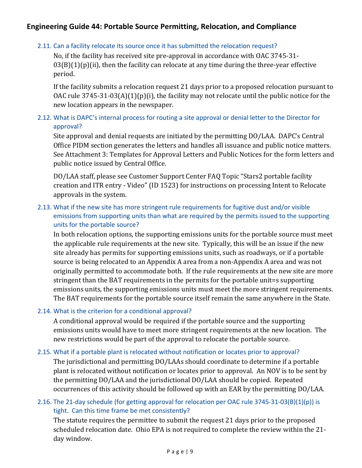## 2.11. Can a facility relocate its source once it has submitted the relocation request?

No, if the facility has received site pre-approval in accordance with OAC 3745-31- $03(B)(1)(p)(ii)$ , then the facility can relocate at any time during the three-year effective period. 

If the facility submits a relocation request 21 days prior to a proposed relocation pursuant to OAC rule  $3745-31-03(A)(1)(p)(i)$ , the facility may not relocate until the public notice for the new location appears in the newspaper.

## 2.12. What is DAPC's internal process for routing a site approval or denial letter to the Director for approval?

Site approval and denial requests are initiated by the permitting DO/LAA. DAPC's Central Office PIDM section generates the letters and handles all issuance and public notice matters. See Attachment 3: Templates for Approval Letters and Public Notices for the form letters and public notice issued by Central Office.

DO/LAA staff, please see Customer Support Center FAQ Topic "Stars2 portable facility creation and ITR entry - Video" (ID 1523) for instructions on processing Intent to Relocate approvals in the system.

## 2.13. What if the new site has more stringent rule requirements for fugitive dust and/or visible emissions from supporting units than what are required by the permits issued to the supporting units for the portable source?

In both relocation options, the supporting emissions units for the portable source must meet the applicable rule requirements at the new site. Typically, this will be an issue if the new site already has permits for supporting emissions units, such as roadways, or if a portable source is being relocated to an Appendix A area from a non-Appendix A area and was not originally permitted to accommodate both. If the rule requirements at the new site are more stringent than the BAT requirements in the permits for the portable unit=s supporting emissions units, the supporting emissions units must meet the more stringent requirements. The BAT requirements for the portable source itself remain the same anywhere in the State.

## 2.14. What is the criterion for a conditional approval?

A conditional approval would be required if the portable source and the supporting emissions units would have to meet more stringent requirements at the new location. The new restrictions would be part of the approval to relocate the portable source.

## 2.15. What if a portable plant is relocated without notification or locates prior to approval?

The jurisdictional and permitting DO/LAAs should coordinate to determine if a portable plant is relocated without notification or locates prior to approval. An NOV is to be sent by the permitting DO/LAA and the jurisdictional DO/LAA should be copied. Repeated occurrences of this activity should be followed up with an EAR by the permitting DO/LAA.

## 2.16. The 21-day schedule (for getting approval for relocation per OAC rule 3745-31-03(B)(1)(p)) is tight. Can this time frame be met consistently?

The statute requires the permittee to submit the request 21 days prior to the proposed scheduled relocation date. Ohio EPA is not required to complete the review within the 21day window.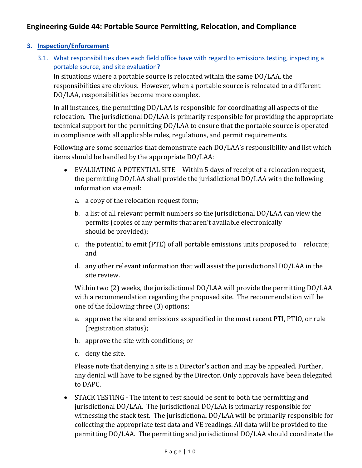### **3. Inspection/Enforcement**

3.1. What responsibilities does each field office have with regard to emissions testing, inspecting a portable source, and site evaluation?

In situations where a portable source is relocated within the same  $DO/LAA$ , the responsibilities are obvious. However, when a portable source is relocated to a different DO/LAA, responsibilities become more complex.

In all instances, the permitting  $DO/LAA$  is responsible for coordinating all aspects of the relocation. The jurisdictional DO/LAA is primarily responsible for providing the appropriate technical support for the permitting DO/LAA to ensure that the portable source is operated in compliance with all applicable rules, regulations, and permit requirements.

Following are some scenarios that demonstrate each DO/LAA's responsibility and list which items should be handled by the appropriate DO/LAA:

- EVALUATING A POTENTIAL SITE Within 5 days of receipt of a relocation request, the permitting  $DO/LAA$  shall provide the jurisdictional  $DO/LAA$  with the following information via email:
	- a. a copy of the relocation request form;
	- b. a list of all relevant permit numbers so the jurisdictional  $DO/LAA$  can view the permits (copies of any permits that aren't available electronically should be provided);
	- c. the potential to emit (PTE) of all portable emissions units proposed to relocate; and
	- d. any other relevant information that will assist the jurisdictional DO/LAA in the site review.

Within two (2) weeks, the jurisdictional DO/LAA will provide the permitting DO/LAA with a recommendation regarding the proposed site. The recommendation will be one of the following three (3) options:

- a. approve the site and emissions as specified in the most recent PTI, PTIO, or rule (registration status);
- b. approve the site with conditions; or
- c. deny the site.

Please note that denying a site is a Director's action and may be appealed. Further, any denial will have to be signed by the Director. Only approvals have been delegated to DAPC.

• STACK TESTING - The intent to test should be sent to both the permitting and jurisdictional DO/LAA. The jurisdictional DO/LAA is primarily responsible for witnessing the stack test. The jurisdictional  $DO/LAA$  will be primarily responsible for collecting the appropriate test data and VE readings. All data will be provided to the permitting DO/LAA. The permitting and jurisdictional DO/LAA should coordinate the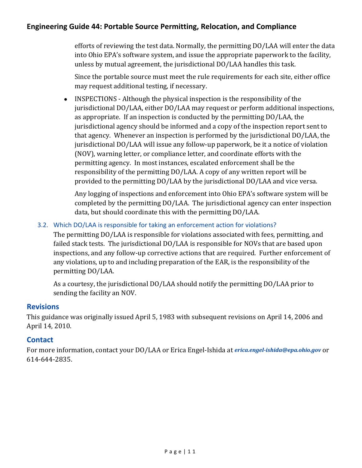efforts of reviewing the test data. Normally, the permitting DO/LAA will enter the data into Ohio EPA's software system, and issue the appropriate paperwork to the facility, unless by mutual agreement, the jurisdictional DO/LAA handles this task.

Since the portable source must meet the rule requirements for each site, either office may request additional testing, if necessary.

• INSPECTIONS - Although the physical inspection is the responsibility of the jurisdictional DO/LAA, either DO/LAA may request or perform additional inspections, as appropriate. If an inspection is conducted by the permitting DO/LAA, the jurisdictional agency should be informed and a copy of the inspection report sent to that agency. Whenever an inspection is performed by the jurisdictional DO/LAA, the jurisdictional DO/LAA will issue any follow-up paperwork, be it a notice of violation (NOV), warning letter, or compliance letter, and coordinate efforts with the permitting agency. In most instances, escalated enforcement shall be the responsibility of the permitting DO/LAA. A copy of any written report will be provided to the permitting DO/LAA by the jurisdictional DO/LAA and vice versa.

Any logging of inspections and enforcement into Ohio EPA's software system will be completed by the permitting DO/LAA. The jurisdictional agency can enter inspection data, but should coordinate this with the permitting DO/LAA.

3.2. Which DO/LAA is responsible for taking an enforcement action for violations?

The permitting DO/LAA is responsible for violations associated with fees, permitting, and failed stack tests. The jurisdictional DO/LAA is responsible for NOVs that are based upon inspections, and any follow-up corrective actions that are required. Further enforcement of any violations, up to and including preparation of the EAR, is the responsibility of the permitting DO/LAA.

As a courtesy, the jurisdictional DO/LAA should notify the permitting DO/LAA prior to sending the facility an NOV.

## **Revisions**

This guidance was originally issued April 5, 1983 with subsequent revisions on April 14, 2006 and April 14, 2010.

## **Contact**

For more information, contact your DO/LAA or Erica Engel-Ishida at *erica.engel-ishida@epa.ohio.gov* or 614‐644‐2835.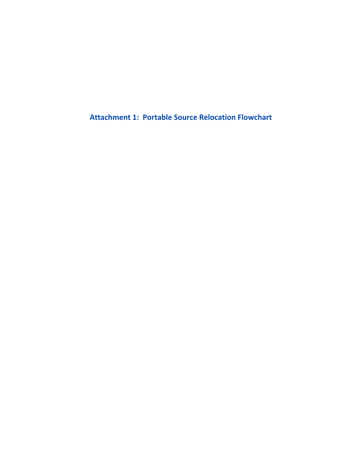**Attachment 1: Portable Source Relocation Flowchart**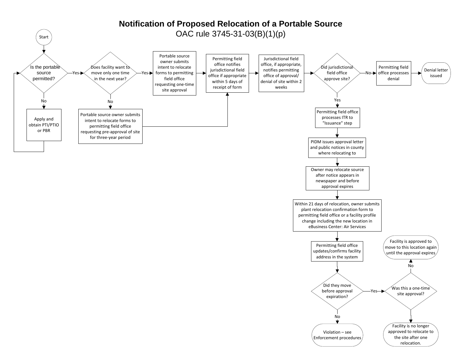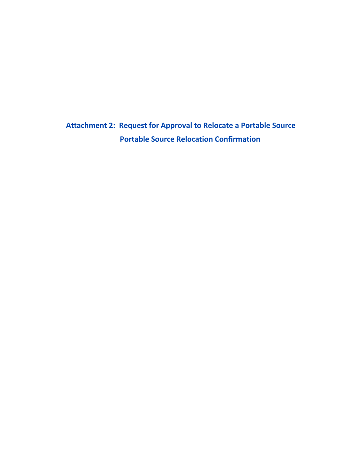**Attachment 2: Request for Approval to Relocate a Portable Source Portable Source Relocation Confirmation**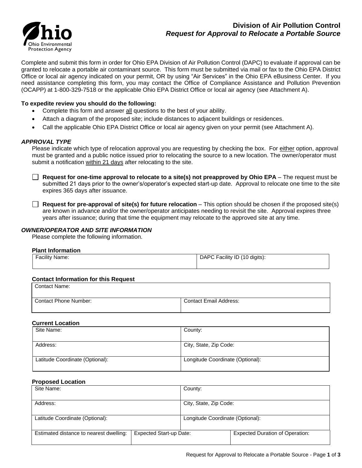

Complete and submit this form in order for Ohio EPA Division of Air Pollution Control (DAPC) to evaluate if approval can be granted to relocate a portable air contaminant source. This form must be submitted via mail or fax to the Ohio EPA District Office or local air agency indicated on your permit, OR by using "Air Services" in the Ohio EPA eBusiness Center. If you need assistance completing this form, you may contact the Office of Compliance Assistance and Pollution Prevention (OCAPP) at 1-800-329-7518 or the applicable Ohio EPA District Office or local air agency (see Attachment A).

#### **To expedite review you should do the following:**

- Complete this form and answer all questions to the best of your ability.
- Attach a diagram of the proposed site; include distances to adjacent buildings or residences.
- Call the applicable Ohio EPA District Office or local air agency given on your permit (see Attachment A).

#### *APPROVAL TYPE*

Please indicate which type of relocation approval you are requesting by checking the box. For either option, approval must be granted and a public notice issued prior to relocating the source to a new location. The owner/operator must submit a notification within 21 days after relocating to the site.

**Request for one-time approval to relocate to a site(s) not preapproved by Ohio EPA** – The request must be submitted 21 days prior to the owner's/operator's expected start-up date. Approval to relocate one time to the site expires 365 days after issuance.

**Request for pre-approval of site(s) for future relocation** – This option should be chosen if the proposed site(s) are known in advance and/or the owner/operator anticipates needing to revisit the site. Approval expires three years after issuance; during that time the equipment may relocate to the approved site at any time.

#### *OWNER/OPERATOR AND SITE INFORMATION*

Please complete the following information.

#### **Plant Information**

| Facility Name: | DAPC Facility ID (10 digits): |
|----------------|-------------------------------|
|                |                               |

#### **Contact Information for this Request**

Contact Phone Number: Contact Email Address:

#### **Current Location**

| Site Name:                      | County:                          |
|---------------------------------|----------------------------------|
|                                 |                                  |
| Address:                        | City, State, Zip Code:           |
|                                 |                                  |
| Latitude Coordinate (Optional): | Longitude Coordinate (Optional): |
|                                 |                                  |

#### **Proposed Location**

| Site Name:                              |                                | County:                          |                                        |
|-----------------------------------------|--------------------------------|----------------------------------|----------------------------------------|
| Address:                                |                                | City, State, Zip Code:           |                                        |
| Latitude Coordinate (Optional):         |                                | Longitude Coordinate (Optional): |                                        |
| Estimated distance to nearest dwelling: | <b>Expected Start-up Date:</b> |                                  | <b>Expected Duration of Operation:</b> |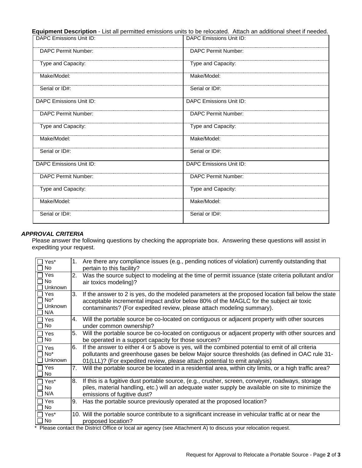**Equipment Description** - List all permitted emissions units to be relocated. Attach an additional sheet if needed.

| DAPC Emissions Unit ID:    | DAPC Emissions Unit ID:    |
|----------------------------|----------------------------|
| DAPC Permit Number:        | <b>DAPC Permit Number:</b> |
| Type and Capacity:         | Type and Capacity:         |
| Make/Model:                | Make/Model:                |
| Serial or ID#:             | Serial or ID#:             |
| DAPC Emissions Unit ID:    | DAPC Emissions Unit ID:    |
| DAPC Permit Number:        | DAPC Permit Number:        |
| Type and Capacity:         | Type and Capacity:         |
| Make/Model:                | Make/Model:                |
| Serial or ID#:             | Serial or ID#:             |
| DAPC Emissions Unit ID:    | DAPC Emissions Unit ID:    |
| <b>DAPC Permit Number:</b> | <b>DAPC Permit Number:</b> |
| Type and Capacity:         | Type and Capacity:         |
| Make/Model:                | Make/Model:                |
| Serial or ID#:             | Serial or ID#:             |

#### *APPROVAL CRITERIA*

Please answer the following questions by checking the appropriate box. Answering these questions will assist in expediting your request.

| $\Box$ Yes*<br>∣ No                               | $1_{\cdot}$ | Are there any compliance issues (e.g., pending notices of violation) currently outstanding that<br>pertain to this facility?                                                                                                                                                                                                                                                                                                                                                                                |
|---------------------------------------------------|-------------|-------------------------------------------------------------------------------------------------------------------------------------------------------------------------------------------------------------------------------------------------------------------------------------------------------------------------------------------------------------------------------------------------------------------------------------------------------------------------------------------------------------|
| $\Box$ Yes<br>No<br>$\blacksquare$<br>Unknown     | 2.          | Was the source subject to modeling at the time of permit issuance (state criteria pollutant and/or<br>air toxics modeling)?                                                                                                                                                                                                                                                                                                                                                                                 |
| ר Yes<br>$\exists$ No*<br>Unknown<br>$\sqcap$ N/A | 3.          | If the answer to 2 is yes, do the modeled parameters at the proposed location fall below the state<br>acceptable incremental impact and/or below 80% of the MAGLC for the subject air toxic<br>contaminants? (For expedited review, please attach modeling summary).                                                                                                                                                                                                                                        |
| □ Yes<br>□ No                                     | 4.          | Will the portable source be co-located on contiguous or adjacent property with other sources<br>under common ownership?                                                                                                                                                                                                                                                                                                                                                                                     |
| □ Yes<br>$\Box$ No                                | 5.          | Will the portable source be co-located on contiguous or adjacent property with other sources and<br>be operated in a support capacity for those sources?                                                                                                                                                                                                                                                                                                                                                    |
| □ Yes<br>$\Box$ No*<br>$\Box$ Unknown             | 6.          | If the answer to either 4 or 5 above is yes, will the combined potential to emit of all criteria<br>pollutants and greenhouse gases be below Major source thresholds (as defined in OAC rule 31-<br>01(LLL)? (For expedited review, please attach potential to emit analysis)                                                                                                                                                                                                                               |
| $\Box$ Yes<br>No.                                 | 7.          | Will the portable source be located in a residential area, within city limits, or a high traffic area?                                                                                                                                                                                                                                                                                                                                                                                                      |
| ∏ Yes*<br>$\Box$ No<br>$\Box$ N/A                 | 8.          | If this is a fugitive dust portable source, (e.g., crusher, screen, conveyer, roadways, storage<br>piles, material handling, etc.) will an adequate water supply be available on site to minimize the<br>emissions of fugitive dust?                                                                                                                                                                                                                                                                        |
| $\Box$ Yes<br>□ No                                | 9.          | Has the portable source previously operated at the proposed location?                                                                                                                                                                                                                                                                                                                                                                                                                                       |
| □ Yes*<br>$\Box$ No<br>$\mathbf{m}$               |             | 10. Will the portable source contribute to a significant increase in vehicular traffic at or near the<br>proposed location?<br>$\mathbf{r}$ and $\mathbf{r}$ are $\mathbf{r}$ and $\mathbf{r}$ and $\mathbf{r}$ are $\mathbf{r}$ and $\mathbf{r}$ and $\mathbf{r}$ are $\mathbf{r}$ and $\mathbf{r}$ are $\mathbf{r}$ and $\mathbf{r}$ are $\mathbf{r}$ and $\mathbf{r}$ are $\mathbf{r}$ and $\mathbf{r}$ are $\mathbf{r}$ and<br>$\mathbf{u} = \mathbf{v} \cdot \mathbf{v} + \mathbf{v} \cdot \mathbf{v}$ |

Please contact the District Office or local air agency (see Attachment A) to discuss your relocation request.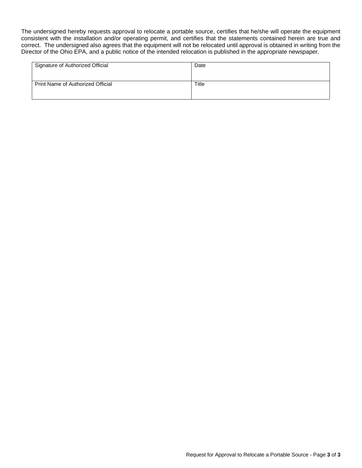The undersigned hereby requests approval to relocate a portable source, certifies that he/she will operate the equipment consistent with the installation and/or operating permit, and certifies that the statements contained herein are true and correct. The undersigned also agrees that the equipment will not be relocated until approval is obtained in writing from the Director of the Ohio EPA, and a public notice of the intended relocation is published in the appropriate newspaper.

| Signature of Authorized Official  | Date  |
|-----------------------------------|-------|
| Print Name of Authorized Official | Title |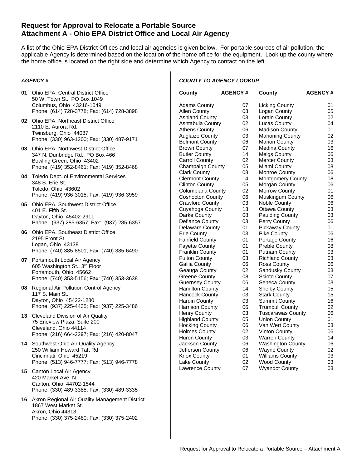### **Request for Approval to Relocate a Portable Source Attachment A - Ohio EPA District Office and Local Air Agency**

A list of the Ohio EPA District Offices and local air agencies is given below. For portable sources of air pollution, the applicable Agency is determined based on the location of the home office for the equipment. Look up the county where the home office is located on the right side and determine which Agency to contact on the left.

#### *AGENCY #*

#### **01** Ohio EPA, Central District Office 50 W. Town St., PO Box 1049 Columbus, Ohio 43216-1049 Phone: (614) 728-3778; Fax: (614) 728-3898

- **02** Ohio EPA, Northeast District Office 2110 E. Aurora Rd. Twinsburg, Ohio 44087 Phone: (330) 963-1200; Fax: (330) 487-9171
- **03** Ohio EPA, Northwest District Office 347 N. Dunbridge Rd., PO Box 466 Bowling Green, Ohio 43402 Phone: (419) 352-8461; Fax: (419) 352-8468
- **04** Toledo Dept. of Environmental Services 348 S. Erie St. Toledo, Ohio 43602 Phone: (419) 936-3015; Fax: (419) 936-3959
- **05** Ohio EPA, Southwest District Office 401 E. Fifth St. Dayton, Ohio 45402-2911 Phone: (937) 285-6357; Fax: (937) 285-6357
- **06** Ohio EPA, Southeast District Office 2195 Front St. Logan, Ohio 43138 Phone: (740) 385-8501; Fax: (740) 385-6490
- **07** Portsmouth Local Air Agency 605 Washington St., 3rd Floor Portsmouth, Ohio 45662 Phone: (740) 353-5156; Fax: (740) 353-3638
- **08** Regional Air Pollution Control Agency 117 S. Main St. Dayton, Ohio 45422-1280 Phone: (937) 225-4435; Fax: (937) 225-3486
- **13** Cleveland Division of Air Quality 75 Erieview Plaza, Suite 200 Cleveland, Ohio 44114 Phone: (216) 664-2297; Fax: (216) 420-8047
- **14** Southwest Ohio Air Quality Agency 250 William Howard Taft Rd Cincinnati, Ohio 45219 Phone: (513) 946-7777; Fax: (513) 946-7778
- **15** Canton Local Air Agency 420 Market Ave. N. Canton, Ohio 44702-1544 Phone: (330) 489-3385; Fax: (330) 489-3335
- **16** Akron Regional Air Quality Management District 1867 West Market St. Akron, Ohio 44313 Phone: (330) 375-2480; Fax: (330) 375-2402

#### *COUNTY TO AGENCY LOOKUP*

| 07<br>Adams County<br>Licking County<br>Allen County<br>03<br>Logan County<br>03<br>Lorain County<br>Ashland County<br>02<br>Ashtabula County<br>Lucas County<br>06<br>Athens County<br>Madison County<br>03<br><b>Auglaize County</b><br><b>Mahoning County</b><br>06<br><b>Belmont County</b><br><b>Marion County</b><br>07<br>Brown County<br>Medina County<br>14<br><b>Butler County</b><br><b>Meigs County</b><br><b>Carroll County</b><br>02<br><b>Mercer County</b><br>05<br>Champaign County<br>Miami County<br><b>Clark County</b><br>08<br>Monroe County<br>14<br>Clermont County<br><b>Montgomery County</b><br>05<br><b>Clinton County</b><br>Morgan County<br>Columbiana County<br>02<br><b>Morrow County</b><br>06<br>Coshocton County<br>Muskingum County<br><b>Crawford County</b><br>03<br>Noble County<br>13<br>Cuyahoga County<br><b>Ottawa County</b><br>08<br>Darke County<br><b>Paulding County</b><br>03<br>Defiance County<br>Perry County<br>Delaware County<br>01<br><b>Pickaway County</b><br>03<br>Erie County<br><b>Pike County</b><br><b>Fairfield County</b><br>01<br><b>Portage County</b><br>01<br>Fayette County<br><b>Preble County</b><br>01<br>Franklin County<br>Putnam County<br>03<br><b>Fulton County</b><br><b>Richland County</b><br>06<br>Gallia County<br>Ross County<br>02<br>Geauga County<br>Sandusky County<br>08<br><b>Greene County</b><br>Scioto County<br>06<br><b>Guernsey County</b><br>Seneca County<br>14<br><b>Hamilton County</b><br>Shelby County<br><b>Hancock County</b><br>03<br><b>Stark County</b><br>03<br>Hardin County<br>Summit County<br>Harrison County<br>06<br><b>Trumbull County</b><br>03<br><b>Henry County</b><br><b>Tuscarawas County</b><br><b>Highland County</b><br>05<br>Union County<br><b>Hocking County</b><br>06<br>Van Wert County<br>02<br>Holmes County<br><b>Vinton County</b><br>03<br><b>Huron County</b><br><b>Warren County</b><br>06<br>Jackson County<br>Washington County<br>Jefferson County<br>06<br><b>Wayne County</b><br>01<br><b>Williams County</b><br>Knox County<br>Lake County<br>02<br><b>Wood County</b> | County          | <b>AGENCY #</b> | County                | <b>AGENCY#</b> |
|-----------------------------------------------------------------------------------------------------------------------------------------------------------------------------------------------------------------------------------------------------------------------------------------------------------------------------------------------------------------------------------------------------------------------------------------------------------------------------------------------------------------------------------------------------------------------------------------------------------------------------------------------------------------------------------------------------------------------------------------------------------------------------------------------------------------------------------------------------------------------------------------------------------------------------------------------------------------------------------------------------------------------------------------------------------------------------------------------------------------------------------------------------------------------------------------------------------------------------------------------------------------------------------------------------------------------------------------------------------------------------------------------------------------------------------------------------------------------------------------------------------------------------------------------------------------------------------------------------------------------------------------------------------------------------------------------------------------------------------------------------------------------------------------------------------------------------------------------------------------------------------------------------------------------------------------------------------------------------------------------------------------------------------------------------------------------------------------------------------------------|-----------------|-----------------|-----------------------|----------------|
|                                                                                                                                                                                                                                                                                                                                                                                                                                                                                                                                                                                                                                                                                                                                                                                                                                                                                                                                                                                                                                                                                                                                                                                                                                                                                                                                                                                                                                                                                                                                                                                                                                                                                                                                                                                                                                                                                                                                                                                                                                                                                                                       |                 |                 |                       | 01             |
|                                                                                                                                                                                                                                                                                                                                                                                                                                                                                                                                                                                                                                                                                                                                                                                                                                                                                                                                                                                                                                                                                                                                                                                                                                                                                                                                                                                                                                                                                                                                                                                                                                                                                                                                                                                                                                                                                                                                                                                                                                                                                                                       |                 |                 |                       | 05             |
|                                                                                                                                                                                                                                                                                                                                                                                                                                                                                                                                                                                                                                                                                                                                                                                                                                                                                                                                                                                                                                                                                                                                                                                                                                                                                                                                                                                                                                                                                                                                                                                                                                                                                                                                                                                                                                                                                                                                                                                                                                                                                                                       |                 |                 |                       | 02             |
|                                                                                                                                                                                                                                                                                                                                                                                                                                                                                                                                                                                                                                                                                                                                                                                                                                                                                                                                                                                                                                                                                                                                                                                                                                                                                                                                                                                                                                                                                                                                                                                                                                                                                                                                                                                                                                                                                                                                                                                                                                                                                                                       |                 |                 |                       | 04             |
|                                                                                                                                                                                                                                                                                                                                                                                                                                                                                                                                                                                                                                                                                                                                                                                                                                                                                                                                                                                                                                                                                                                                                                                                                                                                                                                                                                                                                                                                                                                                                                                                                                                                                                                                                                                                                                                                                                                                                                                                                                                                                                                       |                 |                 |                       | 01             |
|                                                                                                                                                                                                                                                                                                                                                                                                                                                                                                                                                                                                                                                                                                                                                                                                                                                                                                                                                                                                                                                                                                                                                                                                                                                                                                                                                                                                                                                                                                                                                                                                                                                                                                                                                                                                                                                                                                                                                                                                                                                                                                                       |                 |                 |                       | 02             |
|                                                                                                                                                                                                                                                                                                                                                                                                                                                                                                                                                                                                                                                                                                                                                                                                                                                                                                                                                                                                                                                                                                                                                                                                                                                                                                                                                                                                                                                                                                                                                                                                                                                                                                                                                                                                                                                                                                                                                                                                                                                                                                                       |                 |                 |                       | 03             |
|                                                                                                                                                                                                                                                                                                                                                                                                                                                                                                                                                                                                                                                                                                                                                                                                                                                                                                                                                                                                                                                                                                                                                                                                                                                                                                                                                                                                                                                                                                                                                                                                                                                                                                                                                                                                                                                                                                                                                                                                                                                                                                                       |                 |                 |                       | 16             |
|                                                                                                                                                                                                                                                                                                                                                                                                                                                                                                                                                                                                                                                                                                                                                                                                                                                                                                                                                                                                                                                                                                                                                                                                                                                                                                                                                                                                                                                                                                                                                                                                                                                                                                                                                                                                                                                                                                                                                                                                                                                                                                                       |                 |                 |                       | 06             |
|                                                                                                                                                                                                                                                                                                                                                                                                                                                                                                                                                                                                                                                                                                                                                                                                                                                                                                                                                                                                                                                                                                                                                                                                                                                                                                                                                                                                                                                                                                                                                                                                                                                                                                                                                                                                                                                                                                                                                                                                                                                                                                                       |                 |                 |                       | 03             |
|                                                                                                                                                                                                                                                                                                                                                                                                                                                                                                                                                                                                                                                                                                                                                                                                                                                                                                                                                                                                                                                                                                                                                                                                                                                                                                                                                                                                                                                                                                                                                                                                                                                                                                                                                                                                                                                                                                                                                                                                                                                                                                                       |                 |                 |                       | 08             |
|                                                                                                                                                                                                                                                                                                                                                                                                                                                                                                                                                                                                                                                                                                                                                                                                                                                                                                                                                                                                                                                                                                                                                                                                                                                                                                                                                                                                                                                                                                                                                                                                                                                                                                                                                                                                                                                                                                                                                                                                                                                                                                                       |                 |                 |                       | 06             |
|                                                                                                                                                                                                                                                                                                                                                                                                                                                                                                                                                                                                                                                                                                                                                                                                                                                                                                                                                                                                                                                                                                                                                                                                                                                                                                                                                                                                                                                                                                                                                                                                                                                                                                                                                                                                                                                                                                                                                                                                                                                                                                                       |                 |                 |                       | 08             |
|                                                                                                                                                                                                                                                                                                                                                                                                                                                                                                                                                                                                                                                                                                                                                                                                                                                                                                                                                                                                                                                                                                                                                                                                                                                                                                                                                                                                                                                                                                                                                                                                                                                                                                                                                                                                                                                                                                                                                                                                                                                                                                                       |                 |                 |                       | 06             |
|                                                                                                                                                                                                                                                                                                                                                                                                                                                                                                                                                                                                                                                                                                                                                                                                                                                                                                                                                                                                                                                                                                                                                                                                                                                                                                                                                                                                                                                                                                                                                                                                                                                                                                                                                                                                                                                                                                                                                                                                                                                                                                                       |                 |                 |                       | 01             |
|                                                                                                                                                                                                                                                                                                                                                                                                                                                                                                                                                                                                                                                                                                                                                                                                                                                                                                                                                                                                                                                                                                                                                                                                                                                                                                                                                                                                                                                                                                                                                                                                                                                                                                                                                                                                                                                                                                                                                                                                                                                                                                                       |                 |                 |                       | 06             |
|                                                                                                                                                                                                                                                                                                                                                                                                                                                                                                                                                                                                                                                                                                                                                                                                                                                                                                                                                                                                                                                                                                                                                                                                                                                                                                                                                                                                                                                                                                                                                                                                                                                                                                                                                                                                                                                                                                                                                                                                                                                                                                                       |                 |                 |                       | 06             |
|                                                                                                                                                                                                                                                                                                                                                                                                                                                                                                                                                                                                                                                                                                                                                                                                                                                                                                                                                                                                                                                                                                                                                                                                                                                                                                                                                                                                                                                                                                                                                                                                                                                                                                                                                                                                                                                                                                                                                                                                                                                                                                                       |                 |                 |                       | 03             |
|                                                                                                                                                                                                                                                                                                                                                                                                                                                                                                                                                                                                                                                                                                                                                                                                                                                                                                                                                                                                                                                                                                                                                                                                                                                                                                                                                                                                                                                                                                                                                                                                                                                                                                                                                                                                                                                                                                                                                                                                                                                                                                                       |                 |                 |                       | 03             |
|                                                                                                                                                                                                                                                                                                                                                                                                                                                                                                                                                                                                                                                                                                                                                                                                                                                                                                                                                                                                                                                                                                                                                                                                                                                                                                                                                                                                                                                                                                                                                                                                                                                                                                                                                                                                                                                                                                                                                                                                                                                                                                                       |                 |                 |                       | 06             |
|                                                                                                                                                                                                                                                                                                                                                                                                                                                                                                                                                                                                                                                                                                                                                                                                                                                                                                                                                                                                                                                                                                                                                                                                                                                                                                                                                                                                                                                                                                                                                                                                                                                                                                                                                                                                                                                                                                                                                                                                                                                                                                                       |                 |                 |                       | 01             |
|                                                                                                                                                                                                                                                                                                                                                                                                                                                                                                                                                                                                                                                                                                                                                                                                                                                                                                                                                                                                                                                                                                                                                                                                                                                                                                                                                                                                                                                                                                                                                                                                                                                                                                                                                                                                                                                                                                                                                                                                                                                                                                                       |                 |                 |                       | 06             |
|                                                                                                                                                                                                                                                                                                                                                                                                                                                                                                                                                                                                                                                                                                                                                                                                                                                                                                                                                                                                                                                                                                                                                                                                                                                                                                                                                                                                                                                                                                                                                                                                                                                                                                                                                                                                                                                                                                                                                                                                                                                                                                                       |                 |                 |                       | 16             |
|                                                                                                                                                                                                                                                                                                                                                                                                                                                                                                                                                                                                                                                                                                                                                                                                                                                                                                                                                                                                                                                                                                                                                                                                                                                                                                                                                                                                                                                                                                                                                                                                                                                                                                                                                                                                                                                                                                                                                                                                                                                                                                                       |                 |                 |                       | 08             |
|                                                                                                                                                                                                                                                                                                                                                                                                                                                                                                                                                                                                                                                                                                                                                                                                                                                                                                                                                                                                                                                                                                                                                                                                                                                                                                                                                                                                                                                                                                                                                                                                                                                                                                                                                                                                                                                                                                                                                                                                                                                                                                                       |                 |                 |                       | 03             |
|                                                                                                                                                                                                                                                                                                                                                                                                                                                                                                                                                                                                                                                                                                                                                                                                                                                                                                                                                                                                                                                                                                                                                                                                                                                                                                                                                                                                                                                                                                                                                                                                                                                                                                                                                                                                                                                                                                                                                                                                                                                                                                                       |                 |                 |                       | 03             |
|                                                                                                                                                                                                                                                                                                                                                                                                                                                                                                                                                                                                                                                                                                                                                                                                                                                                                                                                                                                                                                                                                                                                                                                                                                                                                                                                                                                                                                                                                                                                                                                                                                                                                                                                                                                                                                                                                                                                                                                                                                                                                                                       |                 |                 |                       | 06             |
|                                                                                                                                                                                                                                                                                                                                                                                                                                                                                                                                                                                                                                                                                                                                                                                                                                                                                                                                                                                                                                                                                                                                                                                                                                                                                                                                                                                                                                                                                                                                                                                                                                                                                                                                                                                                                                                                                                                                                                                                                                                                                                                       |                 |                 |                       | 03             |
|                                                                                                                                                                                                                                                                                                                                                                                                                                                                                                                                                                                                                                                                                                                                                                                                                                                                                                                                                                                                                                                                                                                                                                                                                                                                                                                                                                                                                                                                                                                                                                                                                                                                                                                                                                                                                                                                                                                                                                                                                                                                                                                       |                 |                 |                       | 07             |
|                                                                                                                                                                                                                                                                                                                                                                                                                                                                                                                                                                                                                                                                                                                                                                                                                                                                                                                                                                                                                                                                                                                                                                                                                                                                                                                                                                                                                                                                                                                                                                                                                                                                                                                                                                                                                                                                                                                                                                                                                                                                                                                       |                 |                 |                       | 03             |
|                                                                                                                                                                                                                                                                                                                                                                                                                                                                                                                                                                                                                                                                                                                                                                                                                                                                                                                                                                                                                                                                                                                                                                                                                                                                                                                                                                                                                                                                                                                                                                                                                                                                                                                                                                                                                                                                                                                                                                                                                                                                                                                       |                 |                 |                       | 05             |
|                                                                                                                                                                                                                                                                                                                                                                                                                                                                                                                                                                                                                                                                                                                                                                                                                                                                                                                                                                                                                                                                                                                                                                                                                                                                                                                                                                                                                                                                                                                                                                                                                                                                                                                                                                                                                                                                                                                                                                                                                                                                                                                       |                 |                 |                       | 15             |
|                                                                                                                                                                                                                                                                                                                                                                                                                                                                                                                                                                                                                                                                                                                                                                                                                                                                                                                                                                                                                                                                                                                                                                                                                                                                                                                                                                                                                                                                                                                                                                                                                                                                                                                                                                                                                                                                                                                                                                                                                                                                                                                       |                 |                 |                       | 16             |
|                                                                                                                                                                                                                                                                                                                                                                                                                                                                                                                                                                                                                                                                                                                                                                                                                                                                                                                                                                                                                                                                                                                                                                                                                                                                                                                                                                                                                                                                                                                                                                                                                                                                                                                                                                                                                                                                                                                                                                                                                                                                                                                       |                 |                 |                       | 02             |
|                                                                                                                                                                                                                                                                                                                                                                                                                                                                                                                                                                                                                                                                                                                                                                                                                                                                                                                                                                                                                                                                                                                                                                                                                                                                                                                                                                                                                                                                                                                                                                                                                                                                                                                                                                                                                                                                                                                                                                                                                                                                                                                       |                 |                 |                       | 06             |
|                                                                                                                                                                                                                                                                                                                                                                                                                                                                                                                                                                                                                                                                                                                                                                                                                                                                                                                                                                                                                                                                                                                                                                                                                                                                                                                                                                                                                                                                                                                                                                                                                                                                                                                                                                                                                                                                                                                                                                                                                                                                                                                       |                 |                 |                       | 01             |
|                                                                                                                                                                                                                                                                                                                                                                                                                                                                                                                                                                                                                                                                                                                                                                                                                                                                                                                                                                                                                                                                                                                                                                                                                                                                                                                                                                                                                                                                                                                                                                                                                                                                                                                                                                                                                                                                                                                                                                                                                                                                                                                       |                 |                 |                       | 03             |
|                                                                                                                                                                                                                                                                                                                                                                                                                                                                                                                                                                                                                                                                                                                                                                                                                                                                                                                                                                                                                                                                                                                                                                                                                                                                                                                                                                                                                                                                                                                                                                                                                                                                                                                                                                                                                                                                                                                                                                                                                                                                                                                       |                 |                 |                       | 06             |
|                                                                                                                                                                                                                                                                                                                                                                                                                                                                                                                                                                                                                                                                                                                                                                                                                                                                                                                                                                                                                                                                                                                                                                                                                                                                                                                                                                                                                                                                                                                                                                                                                                                                                                                                                                                                                                                                                                                                                                                                                                                                                                                       |                 |                 |                       | 14             |
|                                                                                                                                                                                                                                                                                                                                                                                                                                                                                                                                                                                                                                                                                                                                                                                                                                                                                                                                                                                                                                                                                                                                                                                                                                                                                                                                                                                                                                                                                                                                                                                                                                                                                                                                                                                                                                                                                                                                                                                                                                                                                                                       |                 |                 |                       | 06             |
|                                                                                                                                                                                                                                                                                                                                                                                                                                                                                                                                                                                                                                                                                                                                                                                                                                                                                                                                                                                                                                                                                                                                                                                                                                                                                                                                                                                                                                                                                                                                                                                                                                                                                                                                                                                                                                                                                                                                                                                                                                                                                                                       |                 |                 |                       | 02             |
|                                                                                                                                                                                                                                                                                                                                                                                                                                                                                                                                                                                                                                                                                                                                                                                                                                                                                                                                                                                                                                                                                                                                                                                                                                                                                                                                                                                                                                                                                                                                                                                                                                                                                                                                                                                                                                                                                                                                                                                                                                                                                                                       |                 |                 |                       | 03             |
|                                                                                                                                                                                                                                                                                                                                                                                                                                                                                                                                                                                                                                                                                                                                                                                                                                                                                                                                                                                                                                                                                                                                                                                                                                                                                                                                                                                                                                                                                                                                                                                                                                                                                                                                                                                                                                                                                                                                                                                                                                                                                                                       |                 |                 |                       | 03             |
|                                                                                                                                                                                                                                                                                                                                                                                                                                                                                                                                                                                                                                                                                                                                                                                                                                                                                                                                                                                                                                                                                                                                                                                                                                                                                                                                                                                                                                                                                                                                                                                                                                                                                                                                                                                                                                                                                                                                                                                                                                                                                                                       | Lawrence County | 07              | <b>Wyandot County</b> | 03             |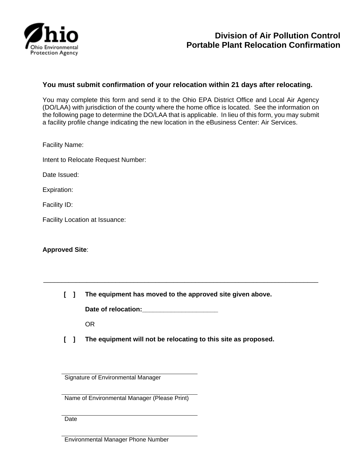

## **You must submit confirmation of your relocation within 21 days after relocating.**

You may complete this form and send it to the Ohio EPA District Office and Local Air Agency (DO/LAA) with jurisdiction of the county where the home office is located. See the information on the following page to determine the DO/LAA that is applicable. In lieu of this form, you may submit a facility profile change indicating the new location in the eBusiness Center: Air Services.

Facility Name:

Intent to Relocate Request Number:

Date Issued:

Expiration:

Facility ID:

Facility Location at Issuance:

**Approved Site**:

**[ ] The equipment has moved to the approved site given above.**

\_\_\_\_\_\_\_\_\_\_\_\_\_\_\_\_\_\_\_\_\_\_\_\_\_\_\_\_\_\_\_\_\_\_\_\_\_\_\_\_\_\_\_\_\_\_\_\_\_\_\_\_\_\_\_\_\_\_\_\_\_\_\_\_\_\_\_\_\_\_\_\_\_\_\_\_

Date of relocation:

OR

**[ ] The equipment will not be relocating to this site as proposed.**

Signature of Environmental Manager

Name of Environmental Manager (Please Print)

**Date** 

Environmental Manager Phone Number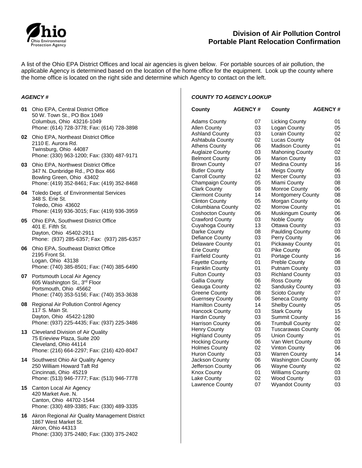

## **Division of Air Pollution Control Portable Plant Relocation Confirmation**

A list of the Ohio EPA District Offices and local air agencies is given below. For portable sources of air pollution, the applicable Agency is determined based on the location of the home office for the equipment. Look up the county where the home office is located on the right side and determine which Agency to contact on the left.

#### *AGENCY #*

- **01** Ohio EPA, Central District Office 50 W. Town St., PO Box 1049 Columbus, Ohio 43216-1049 Phone: (614) 728-3778; Fax: (614) 728-3898
- **02** Ohio EPA, Northeast District Office 2110 E. Aurora Rd. Twinsburg, Ohio 44087 Phone: (330) 963-1200; Fax: (330) 487-9171
- **03** Ohio EPA, Northwest District Office 347 N. Dunbridge Rd., PO Box 466 Bowling Green, Ohio 43402 Phone: (419) 352-8461; Fax: (419) 352-8468
- **04** Toledo Dept. of Environmental Services 348 S. Erie St. Toledo, Ohio 43602 Phone: (419) 936-3015; Fax: (419) 936-3959
- **05** Ohio EPA, Southwest District Office 401 E. Fifth St. Dayton, Ohio 45402-2911 Phone: (937) 285-6357; Fax: (937) 285-6357
- **06** Ohio EPA, Southeast District Office 2195 Front St. Logan, Ohio 43138 Phone: (740) 385-8501; Fax: (740) 385-6490
- **07** Portsmouth Local Air Agency 605 Washington St., 3rd Floor Portsmouth, Ohio 45662 Phone: (740) 353-5156; Fax: (740) 353-3638
- **08** Regional Air Pollution Control Agency 117 S. Main St. Dayton, Ohio 45422-1280 Phone: (937) 225-4435; Fax: (937) 225-3486
- **13** Cleveland Division of Air Quality 75 Erieview Plaza, Suite 200 Cleveland, Ohio 44114 Phone: (216) 664-2297; Fax: (216) 420-8047
- **14** Southwest Ohio Air Quality Agency 250 William Howard Taft Rd Cincinnati, Ohio 45219 Phone: (513) 946-7777; Fax: (513) 946-7778
- **15** Canton Local Air Agency 420 Market Ave. N. Canton, Ohio 44702-1544 Phone: (330) 489-3385; Fax: (330) 489-3335
- **16** Akron Regional Air Quality Management District 1867 West Market St. Akron, Ohio 44313 Phone: (330) 375-2480; Fax: (330) 375-2402

#### *COUNTY TO AGENCY LOOKUP*

| County                  | <b>AGENCY#</b> | County                   | <b>AGENCY#</b> |
|-------------------------|----------------|--------------------------|----------------|
| <b>Adams County</b>     | 07             | <b>Licking County</b>    | 01             |
| <b>Allen County</b>     | 03             | Logan County             | 05             |
| Ashland County          | 03             | Lorain County            | 02             |
| Ashtabula County        | 02             | Lucas County             | 04             |
| <b>Athens County</b>    | 06             | <b>Madison County</b>    | 01             |
| <b>Auglaize County</b>  | 03             | <b>Mahoning County</b>   | 02             |
| <b>Belmont County</b>   | 06             | <b>Marion County</b>     | 03             |
| <b>Brown County</b>     | 07             | Medina County            | 16             |
| <b>Butler County</b>    | 14             | Meigs County             | 06             |
| Carroll County          | 02             | Mercer County            | 03             |
| <b>Champaign County</b> | 05             | Miami County             | 08             |
| <b>Clark County</b>     | 08             | Monroe County            | 06             |
| <b>Clermont County</b>  | 14             | Montgomery County        | 08             |
| <b>Clinton County</b>   | 05             | Morgan County            | 06             |
| Columbiana County       | 02             | <b>Morrow County</b>     | 01             |
| Coshocton County        | 06             | Muskingum County         | 06             |
| <b>Crawford County</b>  | 03             | Noble County             | 06             |
| Cuyahoga County         | 13             | Ottawa County            | 03             |
| Darke County            | 08             | <b>Paulding County</b>   | 03             |
| Defiance County         | 03             | Perry County             | 06             |
| Delaware County         | 01             | <b>Pickaway County</b>   | 01             |
| Erie County             | 03             | Pike County              | 06             |
| <b>Fairfield County</b> | 01             | Portage County           | 16             |
| <b>Fayette County</b>   | 01             | <b>Preble County</b>     | 08             |
| <b>Franklin County</b>  | 01             | <b>Putnam County</b>     | 03             |
| <b>Fulton County</b>    | 03             | <b>Richland County</b>   | 03             |
| <b>Gallia County</b>    | 06             | Ross County              | 06             |
| Geauga County           | 02             | Sandusky County          | 03             |
| Greene County           | 08             | Scioto County            | 07             |
| <b>Guernsey County</b>  | 06             | Seneca County            | 03             |
| <b>Hamilton County</b>  | 14             | <b>Shelby County</b>     | 05             |
| Hancock County          | 03             | <b>Stark County</b>      | 15             |
| Hardin County           | 03             | Summit County            | 16             |
| <b>Harrison County</b>  | 06             | <b>Trumbull County</b>   | 02             |
| <b>Henry County</b>     | 03             | Tuscarawas County        | 06             |
| <b>Highland County</b>  | 05             | Union County             | 01             |
| <b>Hocking County</b>   | 06             | Van Wert County          | 03             |
| <b>Holmes County</b>    | 02             | Vinton County            | 06             |
| <b>Huron County</b>     | 03             | Warren County            | 14             |
| Jackson County          | 06             | <b>Washington County</b> | 06             |
| Jefferson County        | 06             | <b>Wayne County</b>      | 02             |
| Knox County             | 01             | Williams County          | 03             |
| Lake County             | 02             | <b>Wood County</b>       | 03             |
| Lawrence County         | 07             | <b>Wyandot County</b>    | 03             |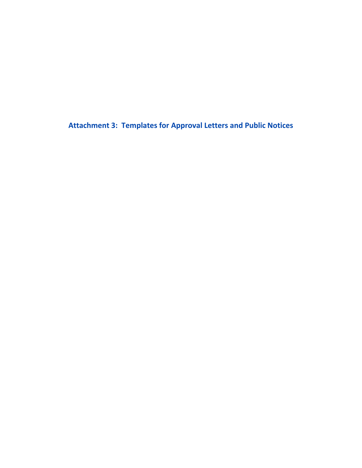**Attachment 3: Templates for Approval Letters and Public Notices**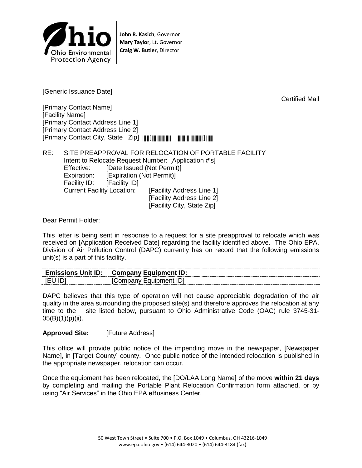

**John R. Kasich**, Governor **Mary Taylor**, Lt. Governor **Craig W. Butler**, Director

[Generic Issuance Date]

Certified Mail

[Primary Contact Name] [Facility Name] [Primary Contact Address Line 1] [Primary Contact Address Line 2] [Primary Contact City, State Zip] \*[Zip Code]\*

RE: SITE PREAPPROVAL FOR RELOCATION OF PORTABLE FACILITY Intent to Relocate Request Number: [Application #'s] Effective: [Date Issued (Not Permit)] Expiration: [Expiration (Not Permit)] Facility ID: [Facility ID] Current Facility Location: [Facility Address Line 1] [Facility Address Line 2] [Facility City, State Zip]

Dear Permit Holder:

This letter is being sent in response to a request for a site preapproval to relocate which was received on [Application Received Date] regarding the facility identified above. The Ohio EPA, Division of Air Pollution Control (DAPC) currently has on record that the following emissions unit(s) is a part of this facility.

| <b>Tmissions Unit ID:</b><br>--------------------  | ---------<br>ID:<br><b>Equinment</b><br>:omnany |
|----------------------------------------------------|-------------------------------------------------|
| $\overline{\phantom{a}}$<br>---- <del>-</del> ---- | mont<br>ור<br>עו<br>-------                     |

DAPC believes that this type of operation will not cause appreciable degradation of the air quality in the area surrounding the proposed site(s) and therefore approves the relocation at any time to the site listed below, pursuant to Ohio Administrative Code (OAC) rule 3745-31-  $05(B)(1)(p)(ii)$ .

### **Approved Site:** [Future Address]

This office will provide public notice of the impending move in the newspaper, [Newspaper Name], in [Target County] county. Once public notice of the intended relocation is published in the appropriate newspaper, relocation can occur.

Once the equipment has been relocated, the [DO/LAA Long Name] of the move **within 21 days** by completing and mailing the Portable Plant Relocation Confirmation form attached, or by using "Air Services" in the Ohio EPA eBusiness Center.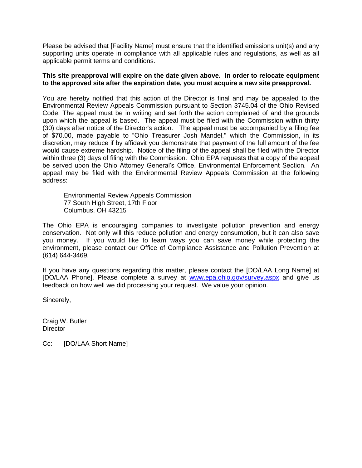Please be advised that [Facility Name] must ensure that the identified emissions unit(s) and any supporting units operate in compliance with all applicable rules and regulations, as well as all applicable permit terms and conditions.

#### **This site preapproval will expire on the date given above. In order to relocate equipment to the approved site after the expiration date, you must acquire a new site preapproval.**

You are hereby notified that this action of the Director is final and may be appealed to the Environmental Review Appeals Commission pursuant to Section 3745.04 of the Ohio Revised Code. The appeal must be in writing and set forth the action complained of and the grounds upon which the appeal is based. The appeal must be filed with the Commission within thirty (30) days after notice of the Director's action. The appeal must be accompanied by a filing fee of \$70.00, made payable to "Ohio Treasurer Josh Mandel," which the Commission, in its discretion, may reduce if by affidavit you demonstrate that payment of the full amount of the fee would cause extreme hardship. Notice of the filing of the appeal shall be filed with the Director within three (3) days of filing with the Commission. Ohio EPA requests that a copy of the appeal be served upon the Ohio Attorney General's Office, Environmental Enforcement Section. An appeal may be filed with the Environmental Review Appeals Commission at the following address:

Environmental Review Appeals Commission 77 South High Street, 17th Floor Columbus, OH 43215

The Ohio EPA is encouraging companies to investigate pollution prevention and energy conservation. Not only will this reduce pollution and energy consumption, but it can also save you money. If you would like to learn ways you can save money while protecting the environment, please contact our Office of Compliance Assistance and Pollution Prevention at (614) 644-3469.

If you have any questions regarding this matter, please contact the [DO/LAA Long Name] at [DO/LAA Phone]. Please complete a survey at [www.epa.ohio.gov/survey.aspx](http://www.epa.ohio.gov/survey.aspx) and give us feedback on how well we did processing your request. We value your opinion.

Sincerely,

Craig W. Butler **Director** 

Cc: [DO/LAA Short Name]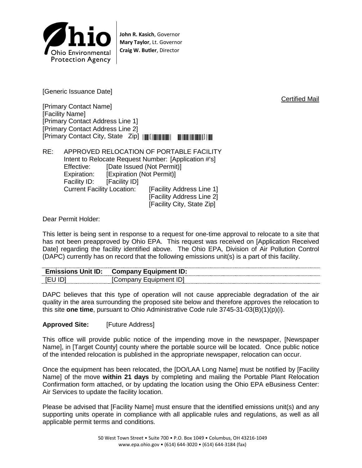

**John R. Kasich**, Governor **Mary Taylor**, Lt. Governor **Craig W. Butler**, Director

[Generic Issuance Date]

[Primary Contact Name] [Facility Name] [Primary Contact Address Line 1] [Primary Contact Address Line 2] [Primary Contact City, State Zip] \*[Zip Code]\*

RE: APPROVED RELOCATION OF PORTABLE FACILITY Intent to Relocate Request Number: [Application #'s] Effective: [Date Issued (Not Permit)] Expiration: [Expiration (Not Permit)] Facility ID: [Facility ID] Current Facility Location: [Facility Address Line 1] [Facility Address Line 2] [Facility City, State Zip]

Dear Permit Holder:

This letter is being sent in response to a request for one-time approval to relocate to a site that has not been preapproved by Ohio EPA. This request was received on [Application Received Date] regarding the facility identified above. The Ohio EPA, Division of Air Pollution Control (DAPC) currently has on record that the following emissions unit(s) is a part of this facility.

| $\mathsf{F}$ missions l $\mathsf{Init}$ ID $\mathsf{I}$ |  |
|---------------------------------------------------------|--|
| ------                                                  |  |

DAPC believes that this type of operation will not cause appreciable degradation of the air quality in the area surrounding the proposed site below and therefore approves the relocation to this site **one time**, pursuant to Ohio Administrative Code rule 3745-31-03(B)(1)(p)(i).

**Approved Site:** [Future Address]

This office will provide public notice of the impending move in the newspaper, [Newspaper Name], in [Target County] county where the portable source will be located. Once public notice of the intended relocation is published in the appropriate newspaper, relocation can occur.

Once the equipment has been relocated, the [DO/LAA Long Name] must be notified by [Facility Name] of the move **within 21 days** by completing and mailing the Portable Plant Relocation Confirmation form attached, or by updating the location using the Ohio EPA eBusiness Center: Air Services to update the facility location.

Please be advised that [Facility Name] must ensure that the identified emissions unit(s) and any supporting units operate in compliance with all applicable rules and regulations, as well as all applicable permit terms and conditions.

Certified Mail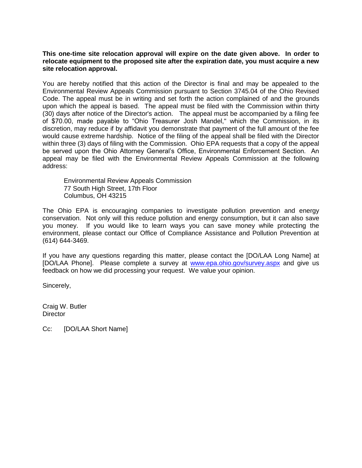#### **This one-time site relocation approval will expire on the date given above. In order to relocate equipment to the proposed site after the expiration date, you must acquire a new site relocation approval.**

You are hereby notified that this action of the Director is final and may be appealed to the Environmental Review Appeals Commission pursuant to Section 3745.04 of the Ohio Revised Code. The appeal must be in writing and set forth the action complained of and the grounds upon which the appeal is based. The appeal must be filed with the Commission within thirty (30) days after notice of the Director's action. The appeal must be accompanied by a filing fee of \$70.00, made payable to "Ohio Treasurer Josh Mandel," which the Commission, in its discretion, may reduce if by affidavit you demonstrate that payment of the full amount of the fee would cause extreme hardship. Notice of the filing of the appeal shall be filed with the Director within three (3) days of filing with the Commission. Ohio EPA requests that a copy of the appeal be served upon the Ohio Attorney General's Office, Environmental Enforcement Section. An appeal may be filed with the Environmental Review Appeals Commission at the following address:

Environmental Review Appeals Commission 77 South High Street, 17th Floor Columbus, OH 43215

The Ohio EPA is encouraging companies to investigate pollution prevention and energy conservation. Not only will this reduce pollution and energy consumption, but it can also save you money. If you would like to learn ways you can save money while protecting the environment, please contact our Office of Compliance Assistance and Pollution Prevention at (614) 644-3469.

If you have any questions regarding this matter, please contact the [DO/LAA Long Name] at [DO/LAA Phone]. Please complete a survey at [www.epa.ohio.gov/survey.aspx](http://www.epa.ohio.gov/survey.aspx) and give us feedback on how we did processing your request. We value your opinion.

Sincerely,

Craig W. Butler **Director** 

Cc: [DO/LAA Short Name]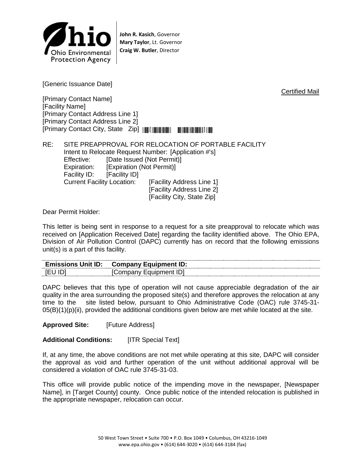

**John R. Kasich**, Governor **Mary Taylor**, Lt. Governor **Craig W. Butler**, Director

[Generic Issuance Date]

[Primary Contact Name] [Facility Name] [Primary Contact Address Line 1] [Primary Contact Address Line 2] [Primary Contact City, State Zip] \*[Zip Code]\*

RE: SITE PREAPPROVAL FOR RELOCATION OF PORTABLE FACILITY Intent to Relocate Request Number: [Application #'s] Effective: [Date Issued (Not Permit)] Expiration: [Expiration (Not Permit)] Facility ID: [Facility ID] Current Facility Location: [Facility Address Line 1] [Facility Address Line 2] [Facility City, State Zip]

Dear Permit Holder:

This letter is being sent in response to a request for a site preapproval to relocate which was received on [Application Received Date] regarding the facility identified above. The Ohio EPA, Division of Air Pollution Control (DAPC) currently has on record that the following emissions unit(s) is a part of this facility.

| --------------<br><b>Emissions Unit ID:</b><br>---------- | ID:<br>Company Equipment ' |
|-----------------------------------------------------------|----------------------------|
|                                                           | M                          |

DAPC believes that this type of operation will not cause appreciable degradation of the air quality in the area surrounding the proposed site(s) and therefore approves the relocation at any time to the site listed below, pursuant to Ohio Administrative Code (OAC) rule 3745-31-  $05(B)(1)(p)(ii)$ , provided the additional conditions given below are met while located at the site.

**Approved Site:** [Future Address]

**Additional Conditions:** [ITR Special Text]

If, at any time, the above conditions are not met while operating at this site, DAPC will consider the approval as void and further operation of the unit without additional approval will be considered a violation of OAC rule 3745-31-03.

This office will provide public notice of the impending move in the newspaper, [Newspaper Name], in [Target County] county. Once public notice of the intended relocation is published in the appropriate newspaper, relocation can occur.

Certified Mail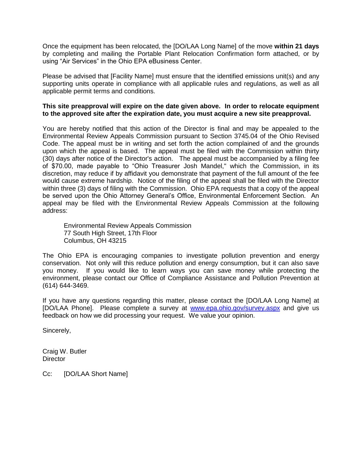Once the equipment has been relocated, the [DO/LAA Long Name] of the move **within 21 days** by completing and mailing the Portable Plant Relocation Confirmation form attached, or by using "Air Services" in the Ohio EPA eBusiness Center.

Please be advised that [Facility Name] must ensure that the identified emissions unit(s) and any supporting units operate in compliance with all applicable rules and regulations, as well as all applicable permit terms and conditions.

### **This site preapproval will expire on the date given above. In order to relocate equipment to the approved site after the expiration date, you must acquire a new site preapproval.**

You are hereby notified that this action of the Director is final and may be appealed to the Environmental Review Appeals Commission pursuant to Section 3745.04 of the Ohio Revised Code. The appeal must be in writing and set forth the action complained of and the grounds upon which the appeal is based. The appeal must be filed with the Commission within thirty (30) days after notice of the Director's action. The appeal must be accompanied by a filing fee of \$70.00, made payable to "Ohio Treasurer Josh Mandel," which the Commission, in its discretion, may reduce if by affidavit you demonstrate that payment of the full amount of the fee would cause extreme hardship. Notice of the filing of the appeal shall be filed with the Director within three (3) days of filing with the Commission. Ohio EPA requests that a copy of the appeal be served upon the Ohio Attorney General's Office, Environmental Enforcement Section. An appeal may be filed with the Environmental Review Appeals Commission at the following address:

Environmental Review Appeals Commission 77 South High Street, 17th Floor Columbus, OH 43215

The Ohio EPA is encouraging companies to investigate pollution prevention and energy conservation. Not only will this reduce pollution and energy consumption, but it can also save you money. If you would like to learn ways you can save money while protecting the environment, please contact our Office of Compliance Assistance and Pollution Prevention at (614) 644-3469.

If you have any questions regarding this matter, please contact the [DO/LAA Long Name] at [DO/LAA Phone]. Please complete a survey at [www.epa.ohio.gov/survey.aspx](http://www.epa.ohio.gov/survey.aspx) and give us feedback on how we did processing your request. We value your opinion.

Sincerely,

Craig W. Butler **Director** 

Cc: [DO/LAA Short Name]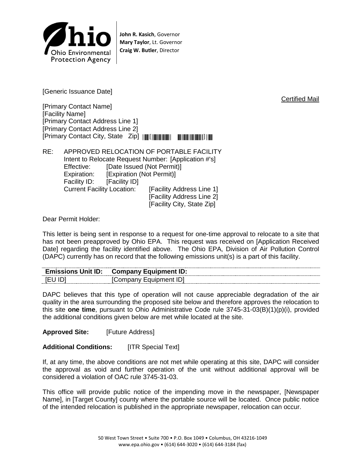

**John R. Kasich**, Governor **Mary Taylor**, Lt. Governor **Craig W. Butler**, Director

[Generic Issuance Date]

[Primary Contact Name] [Facility Name] [Primary Contact Address Line 1] [Primary Contact Address Line 2] [Primary Contact City, State Zip] \*[Zip Code]\*

RE: APPROVED RELOCATION OF PORTABLE FACILITY Intent to Relocate Request Number: [Application #'s] Effective: [Date Issued (Not Permit)] Expiration: [Expiration (Not Permit)] Facility ID: [Facility ID] Current Facility Location: [Facility Address Line 1] [Facility Address Line 2] [Facility City, State Zip]

Dear Permit Holder:

This letter is being sent in response to a request for one-time approval to relocate to a site that has not been preapproved by Ohio EPA. This request was received on [Application Received Date] regarding the facility identified above. The Ohio EPA, Division of Air Pollution Control (DAPC) currently has on record that the following emissions unit(s) is a part of this facility.

| -------------<br><b>Emissions Unit ID:</b> | ID:<br>Eauinment<br>∵ompany ت |
|--------------------------------------------|-------------------------------|
| --------                                   | $ \sim$<br>יי<br>''           |

DAPC believes that this type of operation will not cause appreciable degradation of the air quality in the area surrounding the proposed site below and therefore approves the relocation to this site **one time**, pursuant to Ohio Administrative Code rule 3745-31-03(B)(1)(p)(i), provided the additional conditions given below are met while located at the site.

**Approved Site:** [Future Address]

**Additional Conditions:** [ITR Special Text]

If, at any time, the above conditions are not met while operating at this site, DAPC will consider the approval as void and further operation of the unit without additional approval will be considered a violation of OAC rule 3745-31-03.

This office will provide public notice of the impending move in the newspaper, [Newspaper Name], in [Target County] county where the portable source will be located. Once public notice of the intended relocation is published in the appropriate newspaper, relocation can occur.

Certified Mail